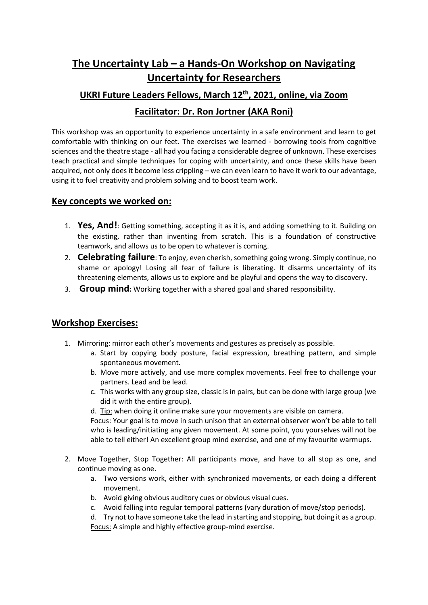## **The Uncertainty Lab – a Hands-On Workshop on Navigating Uncertainty for Researchers**

**UKRI Future Leaders Fellows, March 12th, 2021, online, via Zoom**

## **Facilitator: Dr. Ron Jortner (AKA Roni)**

This workshop was an opportunity to experience uncertainty in a safe environment and learn to get comfortable with thinking on our feet. The exercises we learned - borrowing tools from cognitive sciences and the theatre stage - all had you facing a considerable degree of unknown. These exercises teach practical and simple techniques for coping with uncertainty, and once these skills have been acquired, not only does it become less crippling – we can even learn to have it work to our advantage, using it to fuel creativity and problem solving and to boost team work.

## **Key concepts we worked on:**

- 1. **Yes, And!**: Getting something, accepting it as it is, and adding something to it. Building on the existing, rather than inventing from scratch. This is a foundation of constructive teamwork, and allows us to be open to whatever is coming.
- 2. **Celebrating failure**: To enjoy, even cherish, something going wrong. Simply continue, no shame or apology! Losing all fear of failure is liberating. It disarms uncertainty of its threatening elements, allows us to explore and be playful and opens the way to discovery.
- 3. **Group mind:** Working together with a shared goal and shared responsibility.

## **Workshop Exercises:**

- 1. Mirroring: mirror each other's movements and gestures as precisely as possible.
	- a. Start by copying body posture, facial expression, breathing pattern, and simple spontaneous movement.
	- b. Move more actively, and use more complex movements. Feel free to challenge your partners. Lead and be lead.
	- c. This works with any group size, classic is in pairs, but can be done with large group (we did it with the entire group).
	- d. Tip: when doing it online make sure your movements are visible on camera.

Focus: Your goal is to move in such unison that an external observer won't be able to tell who is leading/initiating any given movement. At some point, you yourselves will not be able to tell either! An excellent group mind exercise, and one of my favourite warmups.

- 2. Move Together, Stop Together: All participants move, and have to all stop as one, and continue moving as one.
	- a. Two versions work, either with synchronized movements, or each doing a different movement.
	- b. Avoid giving obvious auditory cues or obvious visual cues.
	- c. Avoid falling into regular temporal patterns (vary duration of move/stop periods).

d. Try not to have someone take the lead in starting and stopping, but doing it as a group.

Focus: A simple and highly effective group-mind exercise.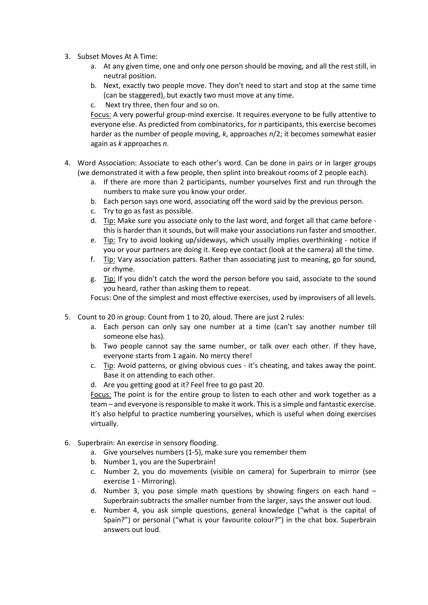- 3. Subset Moves At A Time:
	- a. At any given time, one and only one person should be moving, and all the rest still, in neutral position.
	- b. Next, exactly two people move. They don't need to start and stop at the same time (can be staggered), but exactly two must move at any time.
	- c. Next try three, then four and so on.

Focus: A very powerful group-mind exercise. It requires everyone to be fully attentive to everyone else. As predicted from combinatorics, for *n* participants, this exercise becomes harder as the number of people moving, *k*, approaches *n*/2; it becomes somewhat easier again as *k* approaches *n*.

- 4. Word Association: Associate to each other's word. Can be done in pairs or in larger groups (we demonstrated it with a few people, then splint into breakout rooms of 2 people each).
	- a. If there are more than 2 participants, number yourselves first and run through the numbers to make sure you know your order.
	- b. Each person says one word, associating off the word said by the previous person.
	- c. Try to go as fast as possible.
	- d. Tip: Make sure you associate only to the last word, and forget all that came before this is harder than it sounds, but will make your associations run faster and smoother.
	- e. Tip: Try to avoid looking up/sideways, which usually implies overthinking notice if you or your partners are doing it. Keep eye contact (look at the camera) all the time.
	- f. Tip: Vary association patters. Rather than associating just to meaning, go for sound, or rhyme.
	- g. Tip: If you didn't catch the word the person before you said, associate to the sound you heard, rather than asking them to repeat.

Focus: One of the simplest and most effective exercises, used by improvisers of all levels.

- 5. Count to 20 in group: Count from 1 to 20, aloud. There are just 2 rules:
	- a. Each person can only say one number at a time (can't say another number till someone else has).
	- b. Two people cannot say the same number, or talk over each other. If they have, everyone starts from 1 again. No mercy there!
	- c. Tip: Avoid patterns, or giving obvious cues it's cheating, and takes away the point. Base it on attending to each other.
	- d. Are you getting good at it? Feel free to go past 20.

Focus: The point is for the entire group to listen to each other and work together as a team – and everyone is responsible to make it work. This is a simple and fantastic exercise. It's also helpful to practice numbering yourselves, which is useful when doing exercises virtually.

- 6. Superbrain: An exercise in sensory flooding.
	- a. Give yourselves numbers (1-5), make sure you remember them
	- b. Number 1, you are the Superbrain!
	- c. Number 2, you do movements (visible on camera) for Superbrain to mirror (see exercise 1 - Mirroring).
	- d. Number 3, you pose simple math questions by showing fingers on each hand Superbrain subtracts the smaller number from the larger, says the answer out loud.
	- e. Number 4, you ask simple questions, general knowledge ("what is the capital of Spain?") or personal ("what is your favourite colour?") in the chat box. Superbrain answers out loud.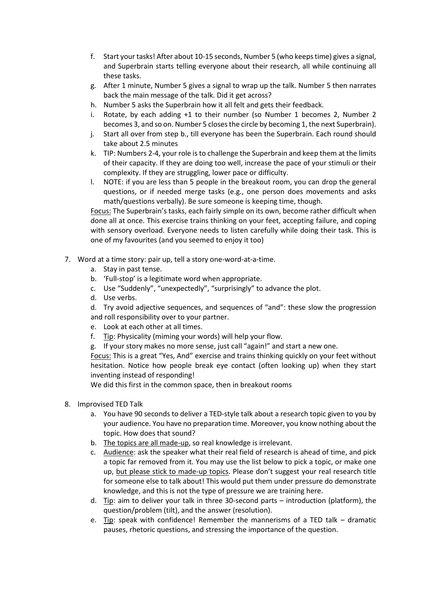- f. Start your tasks! After about 10-15 seconds, Number 5 (who keeps time) gives a signal, and Superbrain starts telling everyone about their research, all while continuing all these tasks.
- g. After 1 minute, Number 5 gives a signal to wrap up the talk. Number 5 then narrates back the main message of the talk. Did it get across?
- h. Number 5 asks the Superbrain how it all felt and gets their feedback.
- i. Rotate, by each adding +1 to their number (so Number 1 becomes 2, Number 2 becomes 3, and so on. Number 5 closes the circle by becoming 1, the next Superbrain).
- j. Start all over from step b., till everyone has been the Superbrain. Each round should take about 2.5 minutes
- k. TIP: Numbers 2-4, your role is to challenge the Superbrain and keep them at the limits of their capacity. If they are doing too well, increase the pace of your stimuli or their complexity. If they are struggling, lower pace or difficulty.
- l. NOTE: if you are less than 5 people in the breakout room, you can drop the general questions, or if needed merge tasks (e.g., one person does movements and asks math/questions verbally). Be sure someone is keeping time, though.

Focus: The Superbrain's tasks, each fairly simple on its own, become rather difficult when done all at once. This exercise trains thinking on your feet, accepting failure, and coping with sensory overload. Everyone needs to listen carefully while doing their task. This is one of my favourites (and you seemed to enjoy it too)

- 7. Word at a time story: pair up, tell a story one-word-at-a-time.
	- a. Stay in past tense.
	- b. 'Full-stop' is a legitimate word when appropriate.
	- c. Use "Suddenly", "unexpectedly", "surprisingly" to advance the plot.
	- d. Use verbs.

d. Try avoid adjective sequences, and sequences of "and": these slow the progression and roll responsibility over to your partner.

- e. Look at each other at all times.
- f. Tip: Physicality (miming your words) will help your flow.
- g. If your story makes no more sense, just call "again!" and start a new one.

Focus: This is a great "Yes, And" exercise and trains thinking quickly on your feet without hesitation. Notice how people break eye contact (often looking up) when they start inventing instead of responding!

We did this first in the common space, then in breakout rooms

- 8. Improvised TED Talk
	- a. You have 90 seconds to deliver a TED-style talk about a research topic given to you by your audience. You have no preparation time. Moreover, you know nothing about the topic. How does that sound?
	- b. The topics are all made-up, so real knowledge is irrelevant.
	- c. Audience: ask the speaker what their real field of research is ahead of time, and pick a topic far removed from it. You may use the list below to pick a topic, or make one up, but please stick to made-up topics. Please don't suggest your real research title for someone else to talk about! This would put them under pressure do demonstrate knowledge, and this is not the type of pressure we are training here.
	- d. Tip: aim to deliver your talk in three 30-second parts introduction (platform), the question/problem (tilt), and the answer (resolution).
	- e. Tip: speak with confidence! Remember the mannerisms of a TED talk dramatic pauses, rhetoric questions, and stressing the importance of the question.